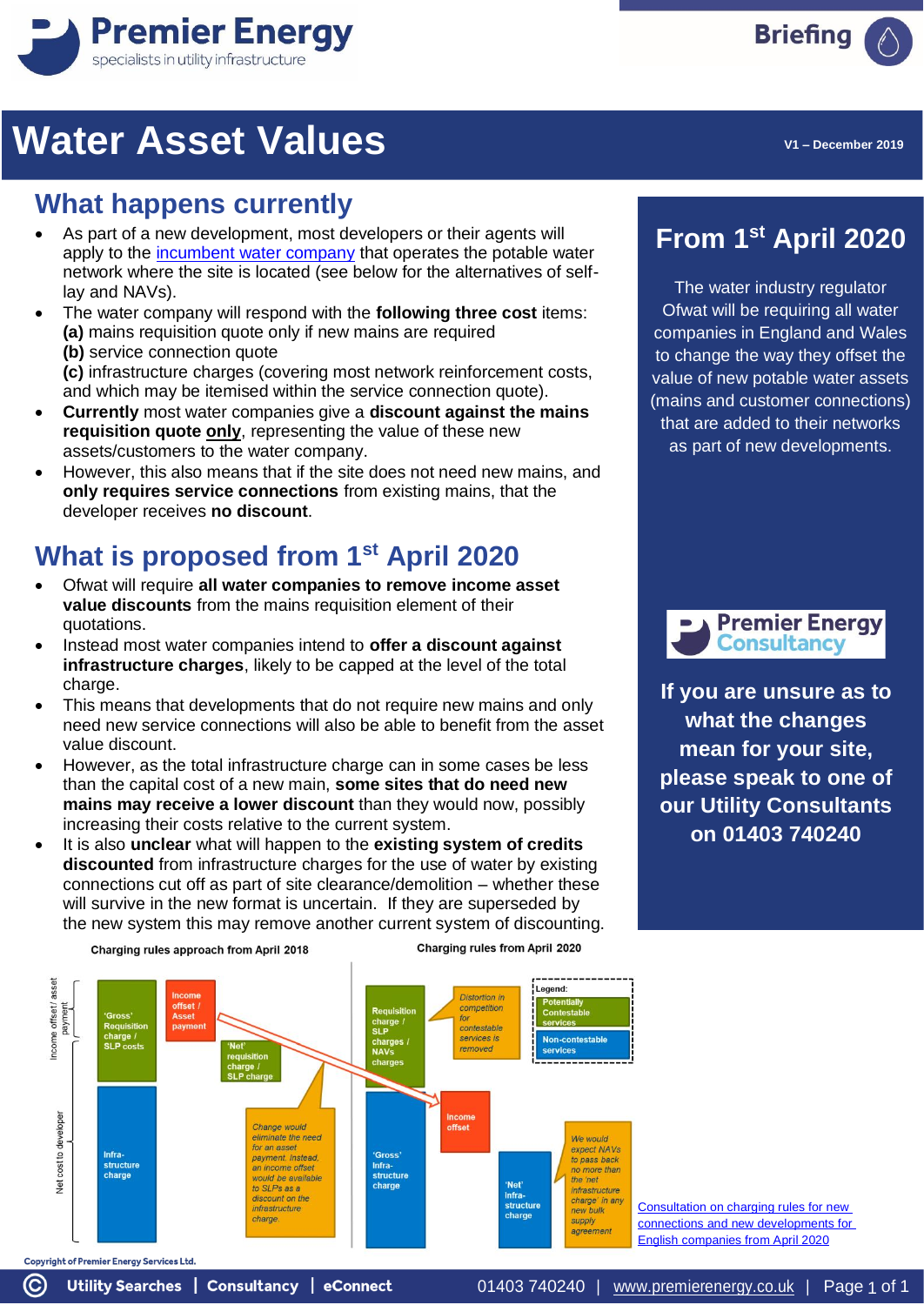

## **Water Asset Values**

#### **What happens currently**

- As part of a new development, most developers or their agents will apply to the [incumbent water company](https://www.premierenergy.co.uk/wp-content/uploads/2018/07/Utility-Jargon-Buster-Water.pdf) that operates the potable water network where the site is located (see below for the alternatives of selflay and NAVs).
- The water company will respond with the **following three cost** items: **(a)** mains requisition quote only if new mains are required **(b)** service connection quote

**(c)** infrastructure charges (covering most network reinforcement costs, and which may be itemised within the service connection quote).

- **Currently** most water companies give a **discount against the mains requisition quote only**, representing the value of these new assets/customers to the water company.
- However, this also means that if the site does not need new mains, and **only requires service connections** from existing mains, that the developer receives **no discount**.

### **What is proposed from 1st April 2020**

- Ofwat will require **all water companies to remove income asset value discounts** from the mains requisition element of their quotations.
- Instead most water companies intend to **offer a discount against infrastructure charges**, likely to be capped at the level of the total charge.
- This means that developments that do not require new mains and only need new service connections will also be able to benefit from the asset value discount.
- However, as the total infrastructure charge can in some cases be less than the capital cost of a new main, **some sites that do need new mains may receive a lower discount** than they would now, possibly increasing their costs relative to the current system.
- It is also **unclear** what will happen to the **existing system of credits discounted** from infrastructure charges for the use of water by existing connections cut off as part of site clearance/demolition – whether these will survive in the new format is uncertain. If they are superseded by the new system this may remove another current system of discounting.

Charging rules approach from April 2018

Utility Searches | Consultancy | eConnect

 $\odot$ 

Charging rules from April 2020



**From 1st April 2020**

The water industry regulator Ofwat will be requiring all water companies in England and Wales to change the way they offset the value of new potable water assets (mains and customer connections) that are added to their networks as part of new developments.



**If you are unsure as to what the changes mean for your site, please speak to one of our Utility Consultants on 01403 740240**

[Consultation on charging rules for new](https://www.ofwat.gov.uk/wp-content/uploads/2019/04/2019-04-30-NCC-England-consultation.pdf)  [connections and new developments for](https://www.ofwat.gov.uk/wp-content/uploads/2019/04/2019-04-30-NCC-England-consultation.pdf)  [English companies from April 2020](https://www.ofwat.gov.uk/wp-content/uploads/2019/04/2019-04-30-NCC-England-consultation.pdf)

**Briefing** 

01403 740240 | [www.premierenergy.co.uk](http://www.premierenergy.co.uk/) | Page 1 of 1